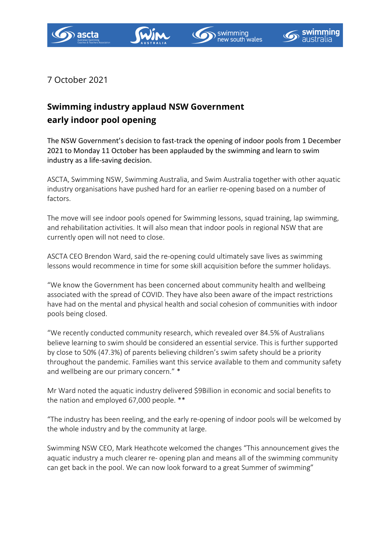







7 October 2021

## **Swimming industry applaud NSW Government early indoor pool opening**

The NSW Government's decision to fast-track the opening of indoor pools from 1 December 2021 to Monday 11 October has been applauded by the swimming and learn to swim industry as a life-saving decision.

ASCTA, Swimming NSW, Swimming Australia, and Swim Australia together with other aquatic industry organisations have pushed hard for an earlier re-opening based on a number of factors.

The move will see indoor pools opened for Swimming lessons, squad training, lap swimming, and rehabilitation activities. It will also mean that indoor pools in regional NSW that are currently open will not need to close.

ASCTA CEO Brendon Ward, said the re-opening could ultimately save lives as swimming lessons would recommence in time for some skill acquisition before the summer holidays.

"We know the Government has been concerned about community health and wellbeing associated with the spread of COVID. They have also been aware of the impact restrictions have had on the mental and physical health and social cohesion of communities with indoor pools being closed.

"We recently conducted community research, which revealed over 84.5% of Australians believe learning to swim should be considered an essential service. This is further supported by close to 50% (47.3%) of parents believing children's swim safety should be a priority throughout the pandemic. Families want this service available to them and community safety and wellbeing are our primary concern." \*

Mr Ward noted the aquatic industry delivered \$9Billion in economic and social benefits to the nation and employed 67,000 people. \*\*

"The industry has been reeling, and the early re-opening of indoor pools will be welcomed by the whole industry and by the community at large.

Swimming NSW CEO, Mark Heathcote welcomed the changes "This announcement gives the aquatic industry a much clearer re- opening plan and means all of the swimming community can get back in the pool. We can now look forward to a great Summer of swimming"